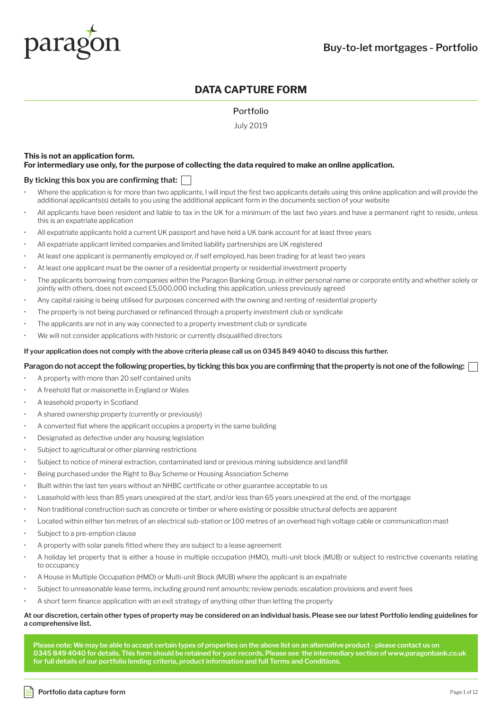

# **DATA CAPTURE FORM**

### Portfolio

July 2019

#### **This is not an application form. For intermediary use only, for the purpose of collecting the data required to make an online application.**

#### **By ticking this box you are confirming that:**

- Where the application is for more than two applicants. I will input the first two applicants details using this online application and will provide the additional applicants(s) details to you using the additional applicant form in the documents section of your website
- All applicants have been resident and liable to tax in the UK for a minimum of the last two years and have a permanent right to reside, unless this is an expatriate application
- All expatriate applicants hold a current UK passport and have held a UK bank account for at least three years
- All expatriate applicant limited companies and limited liability partnerships are UK registered
- At least one applicant is permanently employed or, if self employed, has been trading for at least two years
- At least one applicant must be the owner of a residential property or residential investment property
- The applicants borrowing from companies within the Paragon Banking Group, in either personal name or corporate entity and whether solely or jointly with others, does not exceed £5,000,000 including this application, unless previously agreed
- Any capital raising is being utilised for purposes concerned with the owning and renting of residential property
- The property is not being purchased or refinanced through a property investment club or syndicate
- The applicants are not in any way connected to a property investment club or syndicate
- We will not consider applications with historic or currently disqualified directors

#### **If your application does not comply with the above criteria please call us on 0345 849 4040 to discuss this further.**

#### **Paragon do not accept the following properties, by ticking this box you are confirming that the property is not one of the following:**

- A property with more than 20 self contained units
- A freehold flat or maisonette in England or Wales
- A leasehold property in Scotland
- A shared ownership property (currently or previously)
- A converted flat where the applicant occupies a property in the same building
- Designated as defective under any housing legislation
- Subject to agricultural or other planning restrictions
- Subject to notice of mineral extraction, contaminated land or previous mining subsidence and landfill
- Being purchased under the Right to Buy Scheme or Housing Association Scheme
- Built within the last ten years without an NHBC certificate or other guarantee acceptable to us
- Leasehold with less than 85 years unexpired at the start, and/or less than 65 years unexpired at the end, of the mortgage
- Non traditional construction such as concrete or timber or where existing or possible structural defects are apparent
- Located within either ten metres of an electrical sub-station or 100 metres of an overhead high voltage cable or communication mast
- Subject to a pre-emption clause
- A property with solar panels fitted where they are subject to a lease agreement
- A holiday let property that is either a house in multiple occupation (HMO), multi-unit block (MUB) or subject to restrictive covenants relating to occupancy
- A House in Multiple Occupation (HMO) or Multi-unit Block (MUB) where the applicant is an expatriate
- Subject to unreasonable lease terms, including ground rent amounts; review periods: escalation provisions and event fees
- A short term finance application with an exit strategy of anything other than letting the property

#### **At our discretion, certain other types of property may be considered on an individual basis. Please see our latest Portfolio lending guidelines for a comprehensive list.**

**Please note: We may be able to accept certain types of properties on the above list on an alternative product - please contact us on 0345 849 4040 for details. This form should be retained for your records. Please see the intermediary section of www.paragonbank.co.uk for full details of our portfolio lending criteria, product information and full Terms and Conditions.**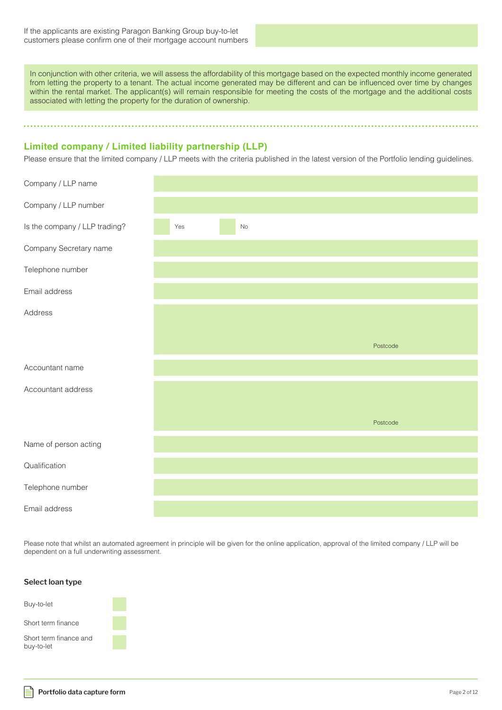In conjunction with other criteria, we will assess the affordability of this mortgage based on the expected monthly income generated from letting the property to a tenant. The actual income generated may be different and can be influenced over time by changes within the rental market. The applicant(s) will remain responsible for meeting the costs of the mortgage and the additional costs associated with letting the property for the duration of ownership.

. . . . . . . . . . . . . . . . . . .

### **Limited company / Limited liability partnership (LLP)**

Please ensure that the limited company / LLP meets with the criteria published in the latest version of the Portfolio lending guidelines.

| Company / LLP name            |           |
|-------------------------------|-----------|
| Company / LLP number          |           |
| Is the company / LLP trading? | Yes<br>No |
| Company Secretary name        |           |
| Telephone number              |           |
| Email address                 |           |
| Address                       |           |
|                               |           |
|                               | Postcode  |
| Accountant name               |           |
| Accountant address            |           |
|                               |           |
|                               | Postcode  |
| Name of person acting         |           |
| Qualification                 |           |
| Telephone number              |           |
| Email address                 |           |

Please note that whilst an automated agreement in principle will be given for the online application, approval of the limited company / LLP will be dependent on a full underwriting assessment.

### **Select loan type**

| Buy-to-let                           |  |
|--------------------------------------|--|
| Short term finance                   |  |
| Short term finance and<br>buy-to-let |  |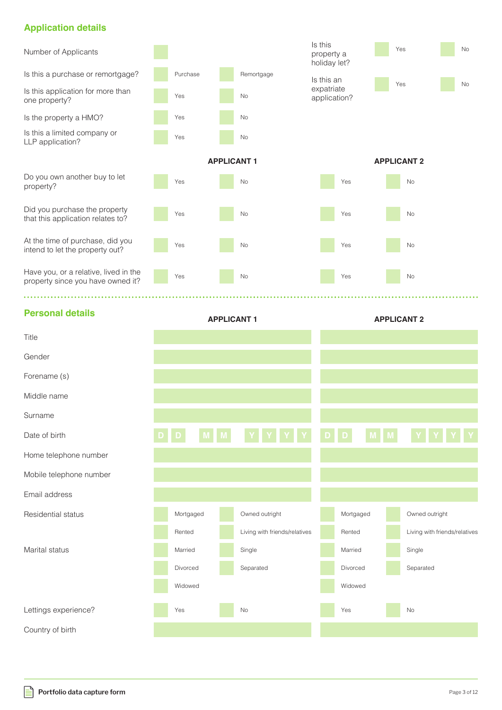# **Application details**



### **Personal details**

| Title                   |           |          |                               |   |           |                               |
|-------------------------|-----------|----------|-------------------------------|---|-----------|-------------------------------|
| Gender                  |           |          |                               |   |           |                               |
| Forename (s)            |           |          |                               |   |           |                               |
| Middle name             |           |          |                               |   |           |                               |
| Surname                 |           |          |                               |   |           |                               |
| Date of birth           |           | <b>M</b> |                               | D | D         |                               |
| Home telephone number   |           |          |                               |   |           |                               |
| Mobile telephone number |           |          |                               |   |           |                               |
| Email address           |           |          |                               |   |           |                               |
| Residential status      | Mortgaged |          | Owned outright                |   | Mortgaged | Owned outright                |
|                         | Rented    |          | Living with friends/relatives |   | Rented    | Living with friends/relatives |
| Marital status          | Married   |          | Single                        |   | Married   | Single                        |
|                         | Divorced  |          | Separated                     |   | Divorced  | Separated                     |
|                         | Widowed   |          |                               |   | Widowed   |                               |
| Lettings experience?    | Yes       |          | No                            |   | Yes       | <b>No</b>                     |
| Country of birth        |           |          |                               |   |           |                               |

**APPLICANT 1 APPLICANT 2**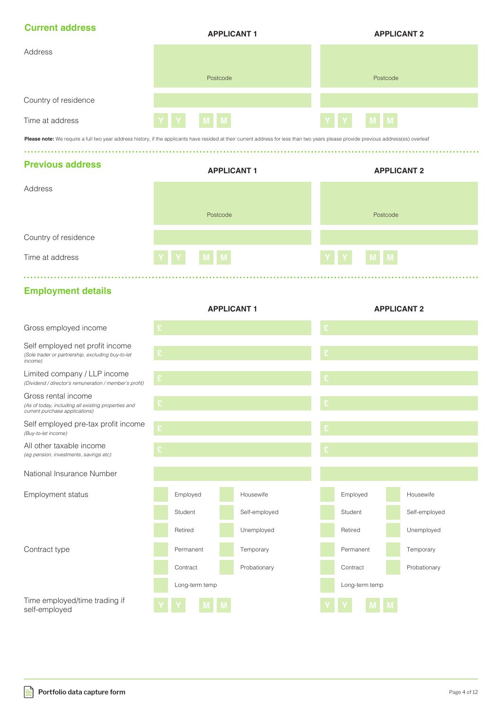| <b>Current address</b> | <b>APPLICANT 1</b> | <b>APPLICANT 2</b> |
|------------------------|--------------------|--------------------|
| Address                |                    |                    |
|                        | Postcode           | Postcode           |
| Country of residence   |                    |                    |
| Time at address        | M M<br>$\mathbf Y$ | YY<br>$M$ $M$      |

Please note: We require a full two year address history, if the applicants have resided at their current address for less than two years please provide previous address(es) overleaf

### **Previous address**

|                      | <b>APPLICANT 1</b> | <b>APPLICANT 2</b> |
|----------------------|--------------------|--------------------|
| Address              |                    |                    |
|                      |                    |                    |
|                      | Postcode           | Postcode           |
|                      |                    |                    |
| Country of residence |                    |                    |
| Time at address      | Y Y M M            | Y Y M M            |
|                      |                    |                    |

### **Employment details**

|                                                                                                              |   |                | <b>APPLICANT 1</b> | <b>APPLICANT 2</b> |                |  |               |
|--------------------------------------------------------------------------------------------------------------|---|----------------|--------------------|--------------------|----------------|--|---------------|
| Gross employed income                                                                                        | £ |                |                    | £                  |                |  |               |
| Self employed net profit income<br>(Sole trader or partnership, excluding buy-to-let<br>income)              | £ |                |                    | £                  |                |  |               |
| Limited company / LLP income<br>(Dividend / director's remuneration / member's profit)                       |   |                |                    | £                  |                |  |               |
| Gross rental income<br>(As of today, including all existing properties and<br>current purchase applications) |   |                |                    |                    |                |  |               |
| Self employed pre-tax profit income<br>(Buy-to-let income)                                                   | £ |                |                    |                    |                |  |               |
| All other taxable income<br>(eg pension, investments, savings etc)                                           | £ |                |                    |                    |                |  |               |
| National Insurance Number                                                                                    |   |                |                    |                    |                |  |               |
| Employment status                                                                                            |   | Employed       | Housewife          |                    | Employed       |  | Housewife     |
|                                                                                                              |   | Student        | Self-employed      |                    | Student        |  | Self-employed |
|                                                                                                              |   | Retired        | Unemployed         |                    | Retired        |  | Unemployed    |
| Contract type                                                                                                |   | Permanent      | Temporary          |                    | Permanent      |  | Temporary     |
|                                                                                                              |   | Contract       | Probationary       |                    | Contract       |  | Probationary  |
|                                                                                                              |   | Long-term temp |                    |                    | Long-term temp |  |               |
| Time employed/time trading if<br>self-employed                                                               |   |                |                    |                    |                |  |               |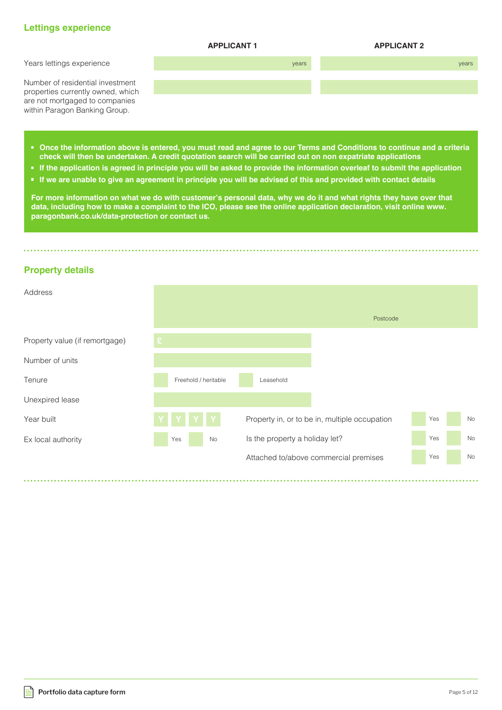### **Lettings experience**



- **Once the information above is entered, you must read and agree to our Terms and Conditions to continue and a criteria check will then be undertaken. A credit quotation search will be carried out on non expatriate applications**
- **If the application is agreed in principle you will be asked to provide the information overleaf to submit the application**
- **If we are unable to give an agreement in principle you will be advised of this and provided with contact details**

**For more information on what we do with customer's personal data, why we do it and what rights they have over that data, including how to make a complaint to the ICO, please see the online application declaration, visit online www. paragonbank.co.uk/data-protection or contact us.**

### **Property details**

| Address                        |     |                      |                                |                                               |     |    |
|--------------------------------|-----|----------------------|--------------------------------|-----------------------------------------------|-----|----|
|                                |     |                      |                                | Postcode                                      |     |    |
| Property value (if remortgage) |     |                      |                                |                                               |     |    |
| Number of units                |     |                      |                                |                                               |     |    |
| Tenure                         |     | Freehold / heritable | Leasehold                      |                                               |     |    |
| Unexpired lease                |     |                      |                                |                                               |     |    |
| Year built                     |     |                      |                                | Property in, or to be in, multiple occupation | Yes | No |
| Ex local authority             | Yes | No                   | Is the property a holiday let? |                                               | Yes | No |
|                                |     |                      |                                | Attached to/above commercial premises         | Yes | No |
|                                |     |                      |                                |                                               |     |    |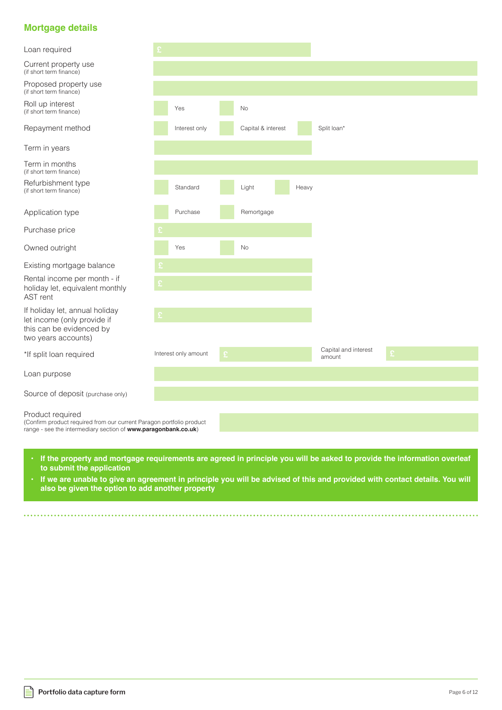# **Mortgage details**

Loan required

Current property use (if short term finance)

Proposed property use (if short term finance)

Roll up interest (if short term finance)

Repayment method

Term in years

Term in months (if short term finance)

Refurbishment type (if short term finance)

Application type

Purchase price

Owned outright

Existing mortgage balance

**£** Rental income per month - if holiday let, equivalent monthly AST rent

**£** If holiday let, annual holiday let income (only provide if this can be evidenced by two years accounts)

\*If split loan required

Loan purpose

Source of deposit (purchase only)

#### Product required

(Confirm product required from our current Paragon portfolio product range - see the intermediary section of **www.paragonbank.co.uk**)

- If the property and mortgage requirements are agreed in principle you will be asked to provide the information overleaf **to submit the application**
- **If we are unable to give an agreement in principle you will be advised of this and provided with contact details. You will also be given the option to add another property**

|                      | Yes                  |              | No                 |       |                                |                  |  |
|----------------------|----------------------|--------------|--------------------|-------|--------------------------------|------------------|--|
|                      | Interest only        |              | Capital & interest |       | Split loan*                    |                  |  |
|                      |                      |              |                    |       |                                |                  |  |
|                      |                      |              |                    |       |                                |                  |  |
|                      | Standard             |              | Light              | Heavy |                                |                  |  |
|                      | Purchase             |              | Remortgage         |       |                                |                  |  |
| $\hat{\mathbf{r}}$   |                      |              |                    |       |                                |                  |  |
|                      | Yes                  |              | No                 |       |                                |                  |  |
| $\mathfrak{L}% _{G}$ |                      |              |                    |       |                                |                  |  |
| £                    |                      |              |                    |       |                                |                  |  |
|                      |                      |              |                    |       |                                |                  |  |
|                      |                      |              |                    |       |                                |                  |  |
|                      |                      |              |                    |       |                                |                  |  |
|                      | Interest only amount | $\mathbf{E}$ |                    |       | Capital and interest<br>amount | $\mathfrak{L}^+$ |  |
|                      |                      |              |                    |       |                                |                  |  |
|                      |                      |              |                    |       |                                |                  |  |
|                      |                      |              |                    |       |                                |                  |  |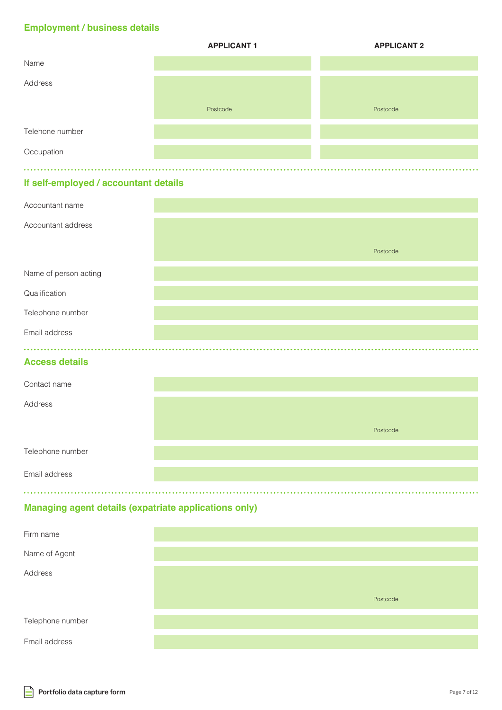# **Employment / business details**

|                 | <b>APPLICANT 1</b> | <b>APPLICANT 2</b> |
|-----------------|--------------------|--------------------|
| Name            |                    |                    |
| Address         |                    |                    |
|                 | Postcode           | Postcode           |
| Telehone number |                    |                    |
| Occupation      |                    |                    |
|                 |                    |                    |

# **If self-employed / accountant details**

| Accountant name                                       |          |
|-------------------------------------------------------|----------|
| Accountant address                                    |          |
|                                                       | Postcode |
| Name of person acting                                 |          |
| Qualification                                         |          |
| Telephone number                                      |          |
| Email address                                         |          |
|                                                       |          |
| <b>Access details</b>                                 |          |
| Contact name                                          |          |
| Address                                               |          |
|                                                       | Postcode |
| Telephone number                                      |          |
| Email address                                         |          |
| Managing agant dataile (expatriate applications only) |          |

# **Managing agent details (expatriate applications only)**

| Firm name        |          |
|------------------|----------|
| Name of Agent    |          |
| Address          |          |
|                  | Postcode |
| Telephone number |          |
| Email address    |          |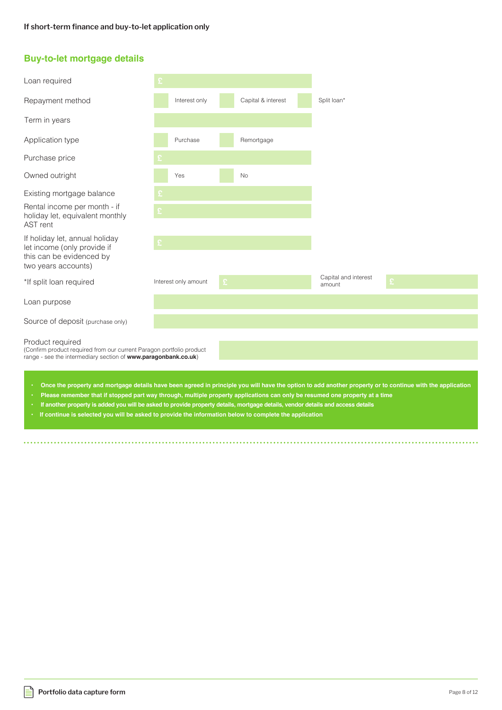### **Buy-to-let mortgage details**

| Loan required                                                                                                                                              |   |                      |   |                    |                                |   |  |  |
|------------------------------------------------------------------------------------------------------------------------------------------------------------|---|----------------------|---|--------------------|--------------------------------|---|--|--|
| Repayment method                                                                                                                                           |   | Interest only        |   | Capital & interest | Split loan*                    |   |  |  |
| Term in years                                                                                                                                              |   |                      |   |                    |                                |   |  |  |
| Application type                                                                                                                                           |   | Purchase             |   | Remortgage         |                                |   |  |  |
| Purchase price                                                                                                                                             |   |                      |   |                    |                                |   |  |  |
| Owned outright                                                                                                                                             |   | Yes                  |   | <b>No</b>          |                                |   |  |  |
| Existing mortgage balance                                                                                                                                  |   |                      |   |                    |                                |   |  |  |
| Rental income per month - if<br>holiday let, equivalent monthly<br>AST rent                                                                                | £ |                      |   |                    |                                |   |  |  |
| If holiday let, annual holiday<br>let income (only provide if<br>this can be evidenced by                                                                  | £ |                      |   |                    |                                |   |  |  |
| two years accounts)                                                                                                                                        |   |                      |   |                    |                                |   |  |  |
| *If split loan required                                                                                                                                    |   | Interest only amount | £ |                    | Capital and interest<br>amount | £ |  |  |
| Loan purpose                                                                                                                                               |   |                      |   |                    |                                |   |  |  |
| Source of deposit (purchase only)                                                                                                                          |   |                      |   |                    |                                |   |  |  |
| Product required<br>(Confirm product required from our current Paragon portfolio product<br>range - see the intermediary section of www.paragonbank.co.uk) |   |                      |   |                    |                                |   |  |  |
| Once the property and mortgage details have been agreed in principle you will have the option to add another property or to continue with the application  |   |                      |   |                    |                                |   |  |  |

- **• Please remember that if stopped part way through, multiple property applications can only be resumed one property at a time**
- **If another property is added you will be asked to provide property details, mortgage details, vendor details and access details**
- **If continue is selected you will be asked to provide the information below to complete the application**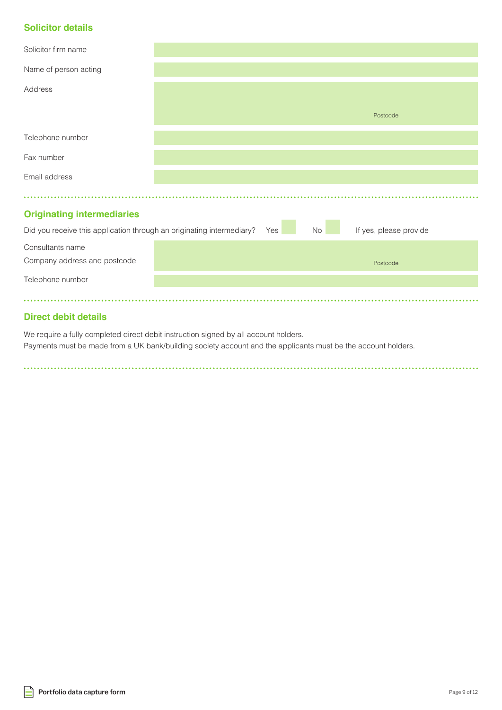# **Solicitor details**

| Solicitor firm name                                                                |  |                        |          |
|------------------------------------------------------------------------------------|--|------------------------|----------|
| Name of person acting                                                              |  |                        |          |
| Address                                                                            |  |                        |          |
|                                                                                    |  |                        | Postcode |
| Telephone number                                                                   |  |                        |          |
| Fax number                                                                         |  |                        |          |
| Email address                                                                      |  |                        |          |
|                                                                                    |  |                        |          |
| <b>Originating intermediaries</b>                                                  |  |                        |          |
| Did you receive this application through an originating intermediary?<br>No<br>Yes |  | If yes, please provide |          |
| Consultants name                                                                   |  |                        |          |
| Company address and postcode                                                       |  |                        | Postcode |
| Telephone number                                                                   |  |                        |          |
| .                                                                                  |  |                        |          |

# **Direct debit details**

We require a fully completed direct debit instruction signed by all account holders. Payments must be made from a UK bank/building society account and the applicants must be the account holders.

. . . . . . . . . . . .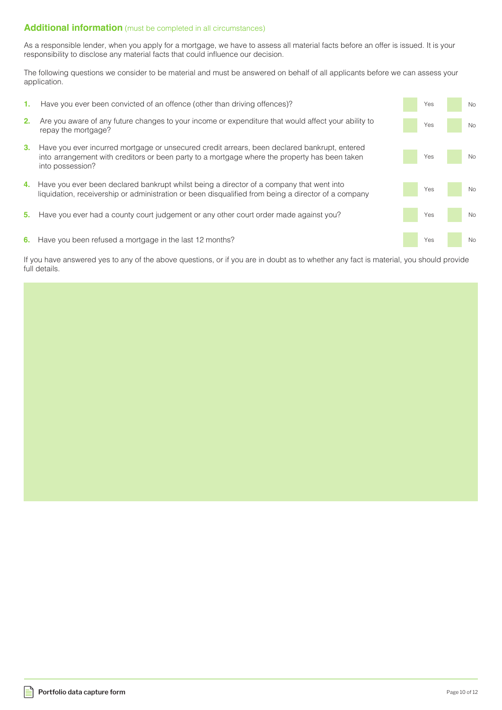### **Additional information** (must be completed in all circumstances)

As a responsible lender, when you apply for a mortgage, we have to assess all material facts before an offer is issued. It is your responsibility to disclose any material facts that could influence our decision.

The following questions we consider to be material and must be answered on behalf of all applicants before we can assess your application.

**2.** Are you aware of any future changes to your income or expenditure that would affect your ability to repay the mortgage? **3.** Have you ever incurred mortgage or unsecured credit arrears, been declared bankrupt, entered into arrangement with creditors or been party to a mortgage where the property has been taken into possession? **4.** Have you ever been declared bankrupt whilst being a director of a company that went into liquidation, receivership or administration or been disqualified from being a director of a company **5.** Have you ever had a county court judgement or any other court order made against you? **6.** Have you been refused a mortgage in the last 12 months? Yes No Yes No Yes No Yes No Yes No **1.** Have you ever been convicted of an offence (other than driving offences)? The Most Convention of the Vescourse of the No

If you have answered yes to any of the above questions, or if you are in doubt as to whether any fact is material, you should provide full details.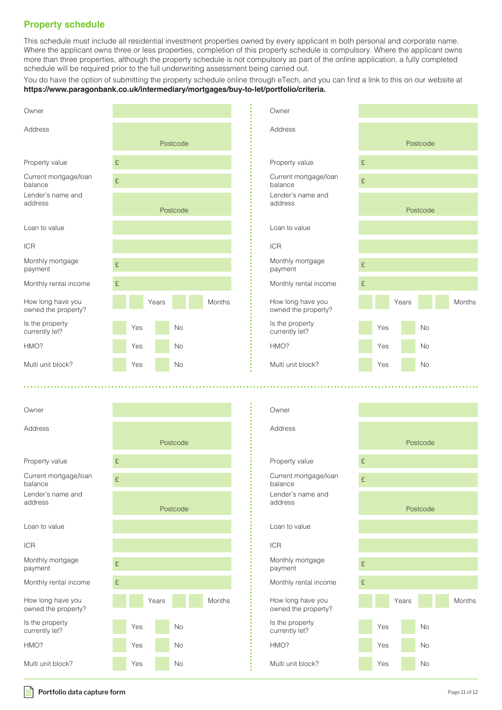# **Property schedule**

This schedule must include all residential investment properties owned by every applicant in both personal and corporate name. Where the applicant owns three or less properties, completion of this property schedule is compulsory. Where the applicant owns more than three properties, although the property schedule is not compulsory as part of the online application, a fully completed schedule will be required prior to the full underwriting assessment being carried out.

You do have the option of submitting the property schedule online through eTech, and you can find a link to this on our website at **https://www.paragonbank.co.uk/intermediary/mortgages/buy-to-let/portfolio/criteria.** 



#### **Portfolio data capture form Page 11 of 12**